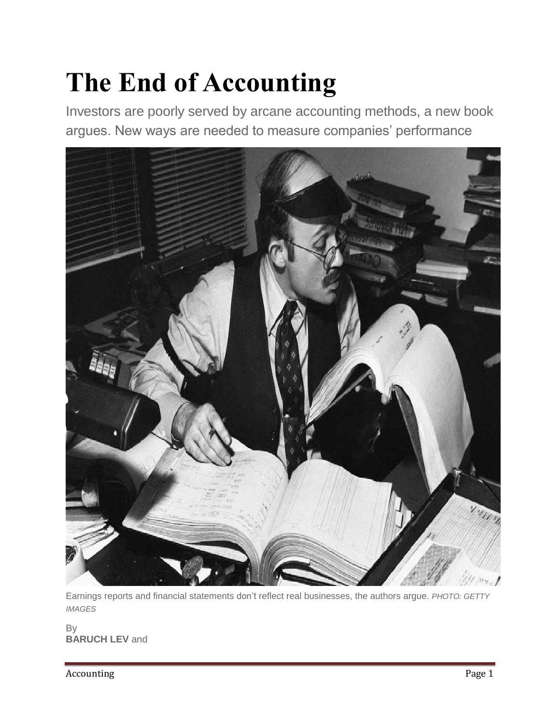## **The End of Accounting**

Investors are poorly served by arcane accounting methods, a new book argues. New ways are needed to measure companies' performance



Earnings reports and financial statements don't reflect real businesses, the authors argue. *PHOTO: GETTY IMAGES*

By **BARUCH LEV** and

Accounting Page 1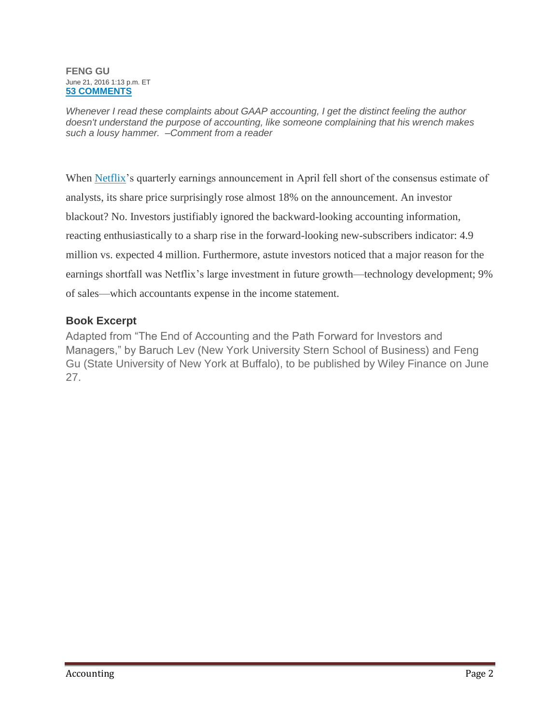## **FENG GU** June 21, 2016 1:13 p.m. ET **[53 COMMENTS](http://www.wsj.com/articles/the-end-of-accounting-1466529229#livefyre-comment)**

*Whenever I read these complaints about GAAP accounting, I get the distinct feeling the author doesn't understand the purpose of accounting, like someone complaining that his wrench makes such a lousy hammer. –Comment from a reader*

When [Netflix'](http://quotes.wsj.com/NFLX)s quarterly earnings announcement in April fell short of the consensus estimate of analysts, its share price surprisingly rose almost 18% on the announcement. An investor blackout? No. Investors justifiably ignored the backward-looking accounting information, reacting enthusiastically to a sharp rise in the forward-looking new-subscribers indicator: 4.9 million vs. expected 4 million. Furthermore, astute investors noticed that a major reason for the earnings shortfall was Netflix's large investment in future growth—technology development; 9% of sales—which accountants expense in the income statement.

## **Book Excerpt**

Adapted from "The End of Accounting and the Path Forward for Investors and Managers," by Baruch Lev (New York University Stern School of Business) and Feng Gu (State University of New York at Buffalo), to be published by Wiley Finance on June 27.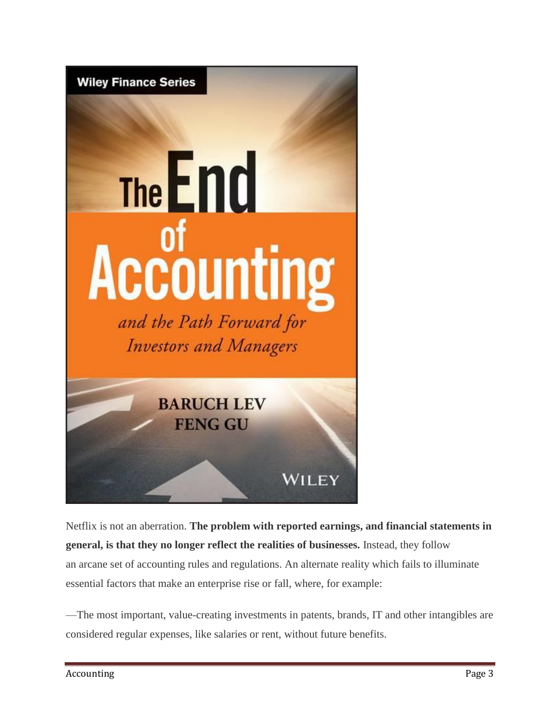

Netflix is not an aberration. **The problem with reported earnings, and financial statements in general, is that they no longer reflect the realities of businesses.** Instead, they follow an arcane set of accounting rules and regulations. An alternate reality which fails to illuminate essential factors that make an enterprise rise or fall, where, for example:

—The most important, value-creating investments in patents, brands, IT and other intangibles are considered regular expenses, like salaries or rent, without future benefits.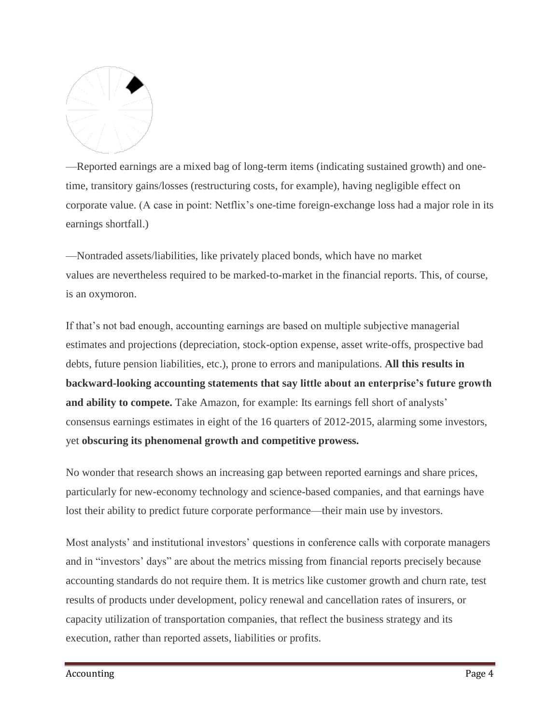

—Reported earnings are a mixed bag of long-term items (indicating sustained growth) and onetime, transitory gains/losses (restructuring costs, for example), having negligible effect on corporate value. (A case in point: Netflix's one-time foreign-exchange loss had a major role in its earnings shortfall.)

—Nontraded assets/liabilities, like privately placed bonds, which have no market values are nevertheless required to be marked-to-market in the financial reports. This, of course, is an oxymoron.

If that's not bad enough, accounting earnings are based on multiple subjective managerial estimates and projections (depreciation, stock-option expense, asset write-offs, prospective bad debts, future pension liabilities, etc.), prone to errors and manipulations. **All this results in backward-looking accounting statements that say little about an enterprise's future growth and ability to compete.** Take Amazon, for example: Its earnings fell short of analysts' consensus earnings estimates in eight of the 16 quarters of 2012-2015, alarming some investors, yet **obscuring its phenomenal growth and competitive prowess.**

No wonder that research shows an increasing gap between reported earnings and share prices, particularly for new-economy technology and science-based companies, and that earnings have lost their ability to predict future corporate performance—their main use by investors.

Most analysts' and institutional investors' questions in conference calls with corporate managers and in "investors' days" are about the metrics missing from financial reports precisely because accounting standards do not require them. It is metrics like customer growth and churn rate, test results of products under development, policy renewal and cancellation rates of insurers, or capacity utilization of transportation companies, that reflect the business strategy and its execution, rather than reported assets, liabilities or profits.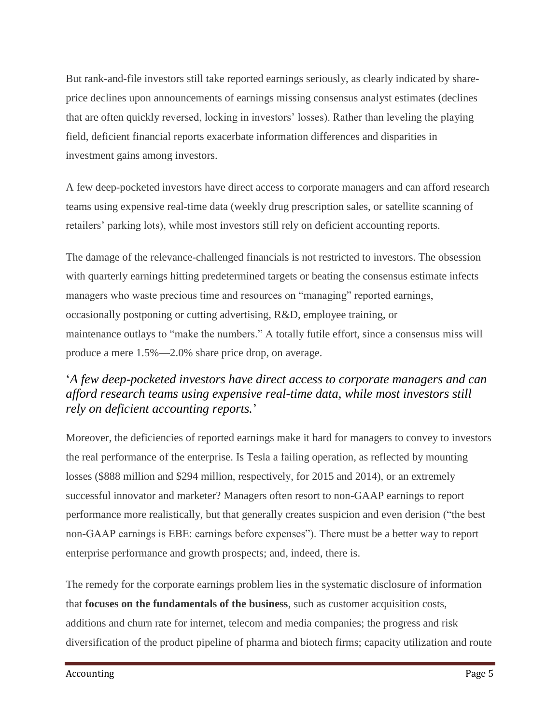But rank-and-file investors still take reported earnings seriously, as clearly indicated by shareprice declines upon announcements of earnings missing consensus analyst estimates (declines that are often quickly reversed, locking in investors' losses). Rather than leveling the playing field, deficient financial reports exacerbate information differences and disparities in investment gains among investors.

A few deep-pocketed investors have direct access to corporate managers and can afford research teams using expensive real-time data (weekly drug prescription sales, or satellite scanning of retailers' parking lots), while most investors still rely on deficient accounting reports.

The damage of the relevance-challenged financials is not restricted to investors. The obsession with quarterly earnings hitting predetermined targets or beating the consensus estimate infects managers who waste precious time and resources on "managing" reported earnings, occasionally postponing or cutting advertising, R&D, employee training, or maintenance outlays to "make the numbers." A totally futile effort, since a consensus miss will produce a mere 1.5%—2.0% share price drop, on average.

## '*A few deep-pocketed investors have direct access to corporate managers and can afford research teams using expensive real-time data, while most investors still rely on deficient accounting reports.*'

Moreover, the deficiencies of reported earnings make it hard for managers to convey to investors the real performance of the enterprise. Is Tesla a failing operation, as reflected by mounting losses (\$888 million and \$294 million, respectively, for 2015 and 2014), or an extremely successful innovator and marketer? Managers often resort to non-GAAP earnings to report performance more realistically, but that generally creates suspicion and even derision ("the best non-GAAP earnings is EBE: earnings before expenses"). There must be a better way to report enterprise performance and growth prospects; and, indeed, there is.

The remedy for the corporate earnings problem lies in the systematic disclosure of information that **focuses on the fundamentals of the business**, such as customer acquisition costs, additions and churn rate for internet, telecom and media companies; the progress and risk diversification of the product pipeline of pharma and biotech firms; capacity utilization and route